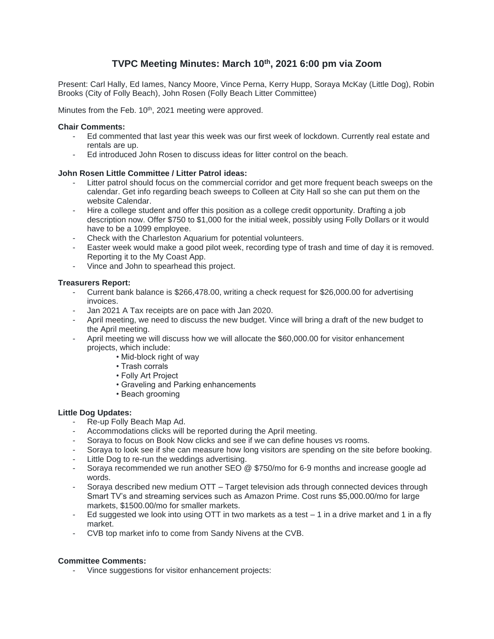# **TVPC Meeting Minutes: March 10th , 2021 6:00 pm via Zoom**

Present: Carl Hally, Ed Iames, Nancy Moore, Vince Perna, Kerry Hupp, Soraya McKay (Little Dog), Robin Brooks (City of Folly Beach), John Rosen (Folly Beach Litter Committee)

Minutes from the Feb. 10<sup>th</sup>, 2021 meeting were approved.

### **Chair Comments:**

- Ed commented that last year this week was our first week of lockdown. Currently real estate and rentals are up.
- Ed introduced John Rosen to discuss ideas for litter control on the beach.

### **John Rosen Little Committee / Litter Patrol ideas:**

- Litter patrol should focus on the commercial corridor and get more frequent beach sweeps on the calendar. Get info regarding beach sweeps to Colleen at City Hall so she can put them on the website Calendar.
- Hire a college student and offer this position as a college credit opportunity. Drafting a job description now. Offer \$750 to \$1,000 for the initial week, possibly using Folly Dollars or it would have to be a 1099 employee.
- Check with the Charleston Aquarium for potential volunteers.
- Easter week would make a good pilot week, recording type of trash and time of day it is removed. Reporting it to the My Coast App.
- Vince and John to spearhead this project.

### **Treasurers Report:**

- Current bank balance is \$266,478.00, writing a check request for \$26,000.00 for advertising invoices.
- Jan 2021 A Tax receipts are on pace with Jan 2020.
- April meeting, we need to discuss the new budget. Vince will bring a draft of the new budget to the April meeting.
- April meeting we will discuss how we will allocate the \$60,000.00 for visitor enhancement projects, which include:
	- Mid-block right of way
	- Trash corrals
	- Folly Art Project
	- Graveling and Parking enhancements
	- Beach grooming

### **Little Dog Updates:**

- Re-up Folly Beach Map Ad.
- Accommodations clicks will be reported during the April meeting.
- Soraya to focus on Book Now clicks and see if we can define houses vs rooms.
- Soraya to look see if she can measure how long visitors are spending on the site before booking.
- Little Dog to re-run the weddings advertising.
- Soraya recommended we run another SEO @ \$750/mo for 6-9 months and increase google ad words.
- Soraya described new medium OTT Target television ads through connected devices through Smart TV's and streaming services such as Amazon Prime. Cost runs \$5,000.00/mo for large markets, \$1500.00/mo for smaller markets.
- Ed suggested we look into using OTT in two markets as a test  $-1$  in a drive market and 1 in a fly market.
- CVB top market info to come from Sandy Nivens at the CVB.

## **Committee Comments:**

- Vince suggestions for visitor enhancement projects: